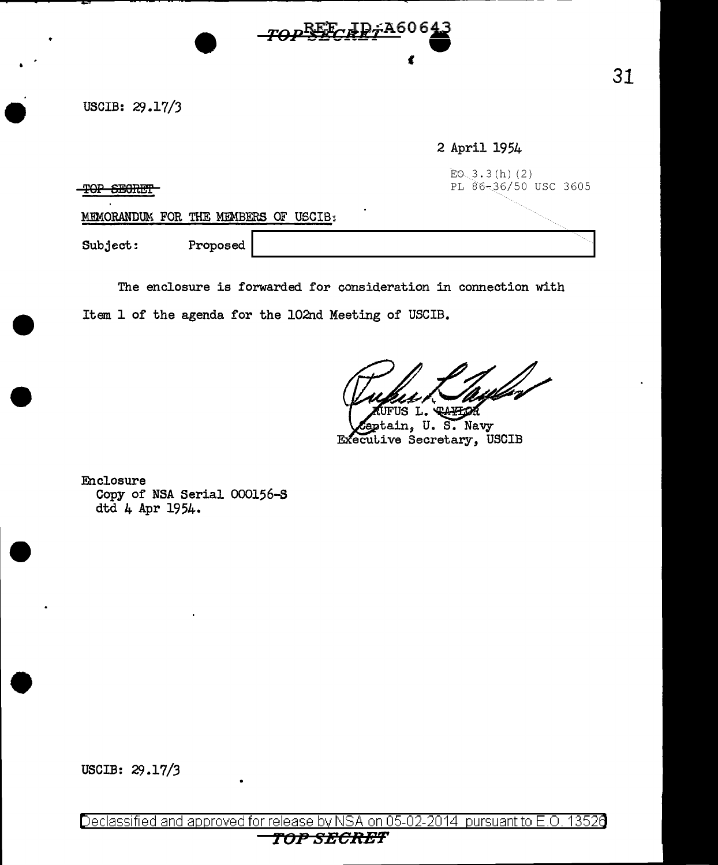USCIB: 29.17/3

### 2 April 1954

 $EO_3.3(h) (2)$  $\textbf{TOP}$  **6EORET** 

MEMORANDUM FOR THE MEMBERS OF USCIB:

Subject: Proposed

The enclosure is forwarded for consideration in connection with Item 1 of the agenda for the 102nd Meeting of USCIB.

 $-70P\frac{REF}{F}$   $\frac{IP}{F}$ A60643

 $\mathbf{C}$ 

*v*  TAFLOR JFUS L.

ptain, U. S. Navy Executive Secretary, USCIB

Enclosure Copy of NSA Serial 000156-S dtd 4 Apr 1954.

USCIB: 29.17/3

Declassified and approved for release by NSA on 05-02-2014 pursuant to E.O. 1352 $\Theta$ **TOP S:ECRE'T'**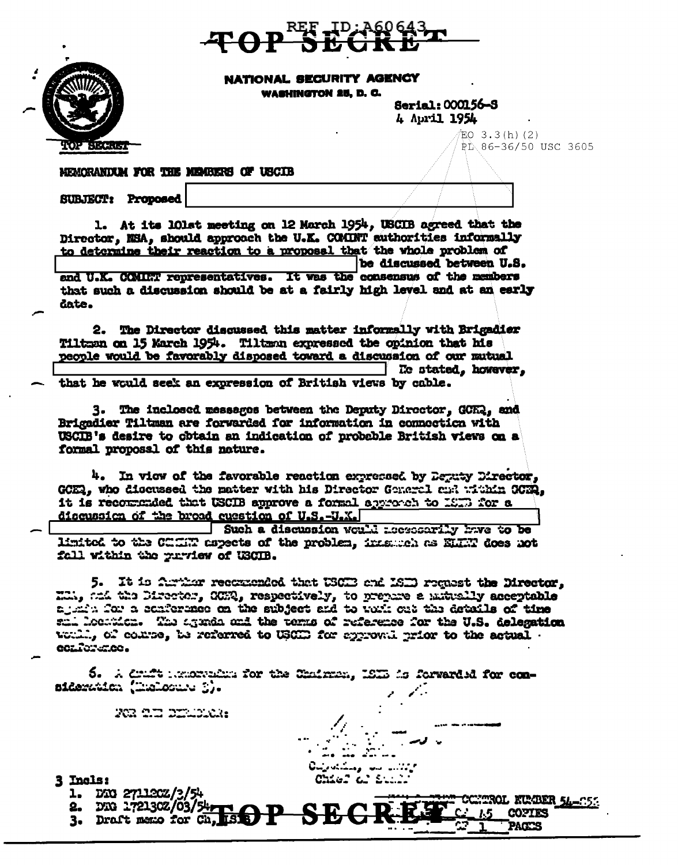



NATIONAL SECURITY AGENCY WASHINGTON 25, D. C.

> Serial: 000156-S 4 April 1954

 $EO$  3.3(h)(2) PL 86-36/50 USC 3605

MEMORANDUM FOR THE MEMBERS OF USCIB

**SUBJECT: Proposed** 

1. At its lOlat meeting on 12 March 1954, USCIB agreed that the Director, NSA, should approach the U.K. COMUNT authorities informally to determine their reaction to a proposal that the vhole problem of be discussed between U.S.

and U.K. CCMINT representatives. It was the consensus of the members that such a discussion should be at a fairly high level and at an early date.

2. The Director discussed this matter informally with Brigadier Tiltman on 15 March 1954. Tiltman expressed the opinion that his people would be favorably disposed toward a discussion of our mutual **He stated, however,** that he would seek an expression of British views by cable.

3. The inclosed messages between the Deputy Director, GCH2, and Brigadier Tiltman are forwarded for information in connection with USCIB's desire to obtain an indication of probable British views on a formal proposal of this nature.

4. In view of the favorable reaction expressed by Deputy Director. GCER, who discussed the matter with his Director General make within GCER. it is recommended that USCIB approve a formal approach to 1973 for a discussion of the broad question of U.S.-U.X.

Such a discussion would accessarily have to be limited to the CHENT aspects of the problem, inastoch as ELEN does not fall within the purview of USCIB.

5. It is further reconnected that USCE and ISED request the Director, Mill, and the Director, GCR, respectively, to prepare a mitrally acceptable again for a conference on the subject and to yout out the details of time sal location. The agenda and the terms of reference for the U.S. delegation vould, of compe, be referred to USCED for approval prior to the actual conference.

5. A druft impredies for the Chairman, ISIB is forwarded for consideration (Inclosure 3).

RG 2D DELDICH:

- 3 Ingls:
	- DTG 271120Z/3/54 ı.
	- DRG 1721302/03/54, 3. Draft memo for Ch,
- **1918 /**

**TROL KUMBER 54-053 COPTES PAGES**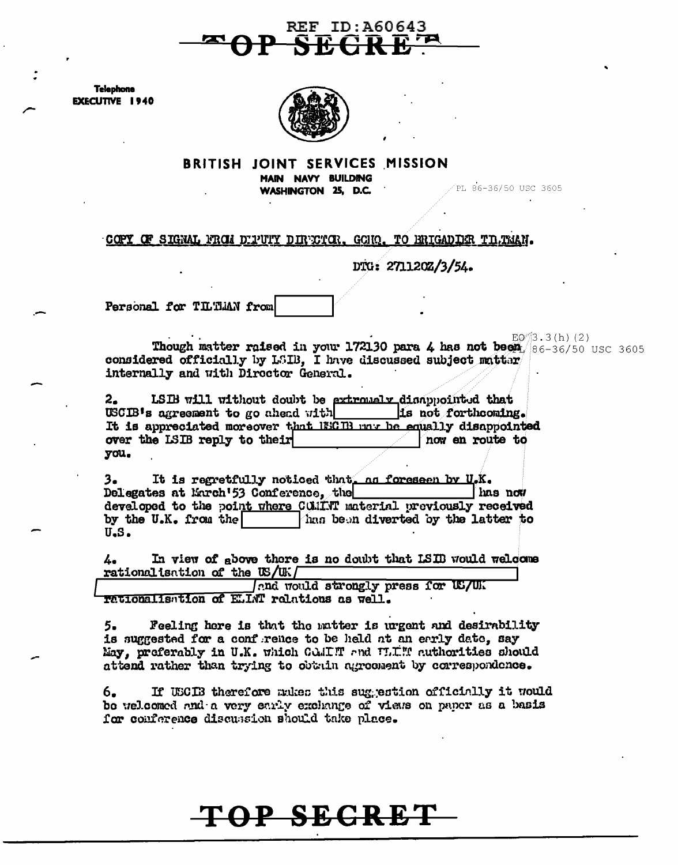

**Telephone EXECUTIVE 1940** 



#### BRITISH JOINT SERVICES MISSION MAIN NAVY BUILDING

WASHINGTON 25, D.C.

PL 86-36/50 USC 3605

#### COPY OF SIGNAL FROM DIFUTY DIRECTOR, GONO. TO BRIGADIER TILTMAN.

DTG: 271120Z/3/54.

Personal for TILTMAN from

 $EQ^2/3.3(h)$  (2) Though matter raised in your 172130 para 4 has not been  $86-36/50$  USC 3605 considered officially by LSIB, I have discussed subject matter internally and with Director General.

LSIB will without doubt be extremely disappointed that  $\mathbf{2}_{\bullet}$ USCIB's agreement to go ahead with is not forthcoming. It is appreciated moreover that ISCEB may be equally disappointed over the LSIB reply to their now en route to you.

It is regretfully noticed that, as foreseen by U.K. з. Delegates at Enrch'53 Conference, the home has now developed to the point where COMINT material previously received by the U.K. from the has been diverted by the latter to  $U<sub>•</sub>S<sub>•</sub>$ 

In view of gbove there is no doubt that ISIB would welcome 4. rationalisation of the US/UK $\Gamma$ 

Ind would strongly press for US/UK rationalisation of ELINT relations as well.

Feeling here is that the matter is urgent and desirability 5. is suggested for a confrence to be held at an early date, say May, preferably in U.K. which COMIT and W.I.T. authorities should attend rather than trying to obtain agreement by correspondence.

If USCES therefore mukes this suggestion officially it would 6. be welcomed and a very early exchange of views on paper as a basis for conference discussion should take place.

# TOP SECRET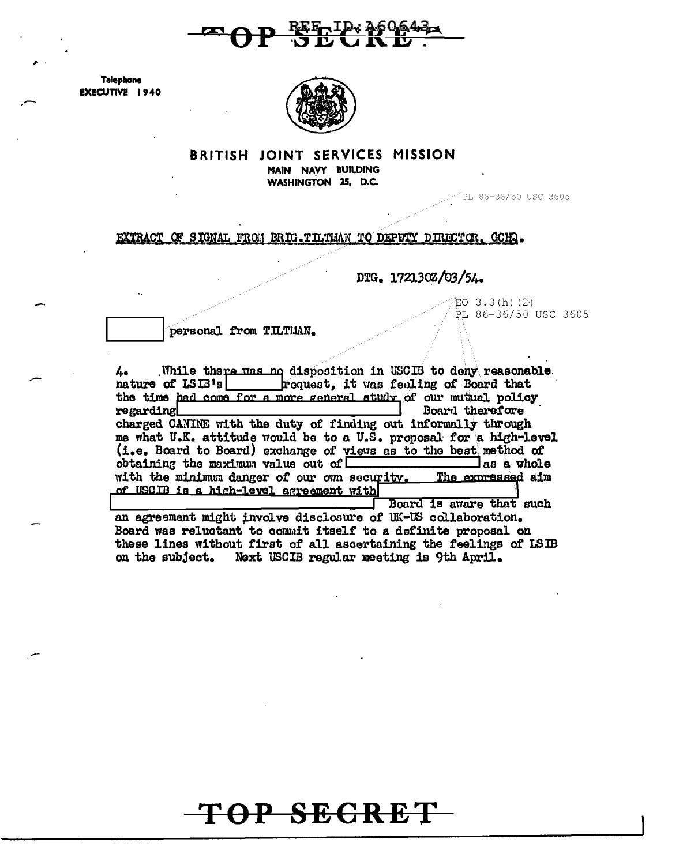

**Telephone EXECUTIVE 1940** 



#### **BRITISH JOINT SERVICES MISSION**

MAIN NAVY BUILDING WASHINGTON 25, D.C.

PL 86-36/50 USC 3605

EXTRACT OF SIGNAL FROM BRIG. TILTMAN TO DEPUTY DIRECTOR. GCHQ.

DTG. 172130Z/03/54.

EO  $3.3(h)$  (2.) PL 86-36/50 USC 3605

personal from TILTHAN.

While there was no disposition in USCIB to deny reasonable 4. nature of LSIB's | request, it was feeling of Board that the time had come for a more general study of our mutual policy<br>regarding Board therefore charged CANINE with the duty of finding out informally through me what U.K. attitude would be to a U.S. proposal for a high-level (i.e. Board to Board) exchange of views as to the best method of obtaining the maximum value out of  $\Box$  $\exists$  as a whole with the minimum danger of our own security. The expressed aim of USCIB is a high-level agreement with Board is aware that such

an agreement might involve disclosure of UK-US collaboration. Board was reluctant to commit itself to a definite proposal on these lines without first of all ascertaining the feelings of ISIB on the subject. Next USCIB regular meeting is 9th April.

# TOP SECRET